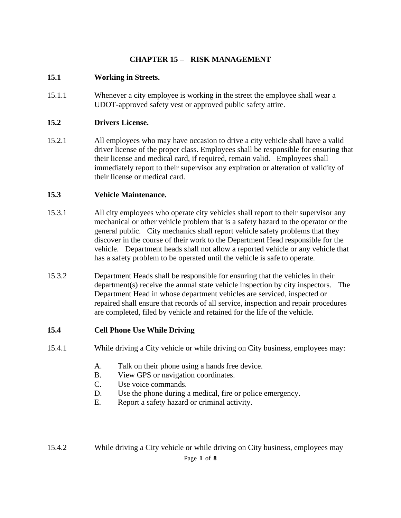## **CHAPTER 15 – RISK MANAGEMENT**

#### **15.1 Working in Streets.**

15.1.1 Whenever a city employee is working in the street the employee shall wear a UDOT-approved safety vest or approved public safety attire.

## **15.2 Drivers License.**

15.2.1 All employees who may have occasion to drive a city vehicle shall have a valid driver license of the proper class. Employees shall be responsible for ensuring that their license and medical card, if required, remain valid. Employees shall immediately report to their supervisor any expiration or alteration of validity of their license or medical card.

#### **15.3 Vehicle Maintenance.**

- 15.3.1 All city employees who operate city vehicles shall report to their supervisor any mechanical or other vehicle problem that is a safety hazard to the operator or the general public. City mechanics shall report vehicle safety problems that they discover in the course of their work to the Department Head responsible for the vehicle. Department heads shall not allow a reported vehicle or any vehicle that has a safety problem to be operated until the vehicle is safe to operate.
- 15.3.2 Department Heads shall be responsible for ensuring that the vehicles in their department(s) receive the annual state vehicle inspection by city inspectors. The Department Head in whose department vehicles are serviced, inspected or repaired shall ensure that records of all service, inspection and repair procedures are completed, filed by vehicle and retained for the life of the vehicle.

#### **15.4 Cell Phone Use While Driving**

- 15.4.1 While driving a City vehicle or while driving on City business, employees may:
	- A. Talk on their phone using a hands free device.
	- B. View GPS or navigation coordinates.
	- C. Use voice commands.
	- D. Use the phone during a medical, fire or police emergency.
	- E. Report a safety hazard or criminal activity.

15.4.2 While driving a City vehicle or while driving on City business, employees may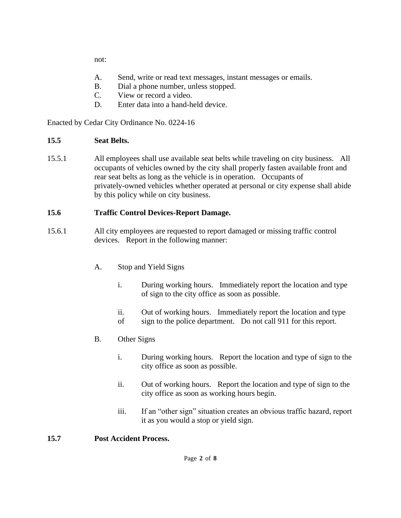not:

- A. Send, write or read text messages, instant messages or emails.
- B. Dial a phone number, unless stopped.
- C. View or record a video.
- D. Enter data into a hand-held device.

Enacted by Cedar City Ordinance No. 0224-16

#### **15.5 Seat Belts.**

15.5.1 All employees shall use available seat belts while traveling on city business. All occupants of vehicles owned by the city shall properly fasten available front and rear seat belts as long as the vehicle is in operation. Occupants of privately-owned vehicles whether operated at personal or city expense shall abide by this policy while on city business.

## **15.6 Traffic Control Devices-Report Damage.**

- 15.6.1 All city employees are requested to report damaged or missing traffic control devices. Report in the following manner:
	- A. Stop and Yield Signs
		- i. During working hours. Immediately report the location and type of sign to the city office as soon as possible.
		- ii. Out of working hours. Immediately report the location and type
		- of sign to the police department. Do not call 911 for this report.
	- B. Other Signs
		- i. During working hours. Report the location and type of sign to the city office as soon as possible.
		- ii. Out of working hours. Report the location and type of sign to the city office as soon as working hours begin.
		- iii. If an "other sign" situation creates an obvious traffic hazard, report it as you would a stop or yield sign.

## **15.7 Post Accident Process.**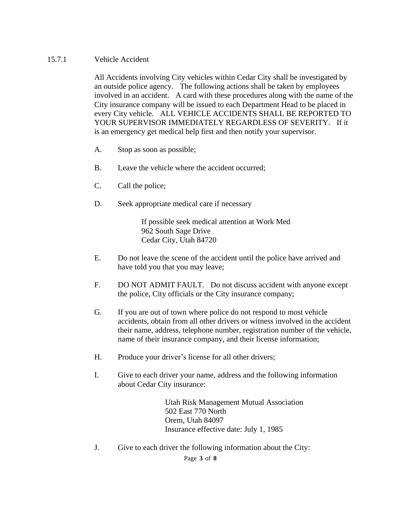#### 15.7.1 Vehicle Accident

All Accidents involving City vehicles within Cedar City shall be investigated by an outside police agency. The following actions shall be taken by employees involved in an accident. A card with these procedures along with the name of the City insurance company will be issued to each Department Head to be placed in every City vehicle. ALL VEHICLE ACCIDENTS SHALL BE REPORTED TO YOUR SUPERVISOR IMMEDIATELY REGARDLESS OF SEVERITY. If it is an emergency get medical help first and then notify your supervisor.

- A. Stop as soon as possible;
- B. Leave the vehicle where the accident occurred;
- C. Call the police;
- D. Seek appropriate medical care if necessary

If possible seek medical attention at Work Med 962 South Sage Drive Cedar City, Utah 84720

- E. Do not leave the scene of the accident until the police have arrived and have told you that you may leave;
- F. DO NOT ADMIT FAULT. Do not discuss accident with anyone except the police, City officials or the City insurance company;
- G. If you are out of town where police do not respond to most vehicle accidents, obtain from all other drivers or witness involved in the accident their name, address, telephone number, registration number of the vehicle, name of their insurance company, and their license information;
- H. Produce your driver's license for all other drivers;
- I. Give to each driver your name, address and the following information about Cedar City insurance:

Utah Risk Management Mutual Association 502 East 770 North Orem, Utah 84097 Insurance effective date: July 1, 1985

J. Give to each driver the following information about the City:

Page **3** of **8**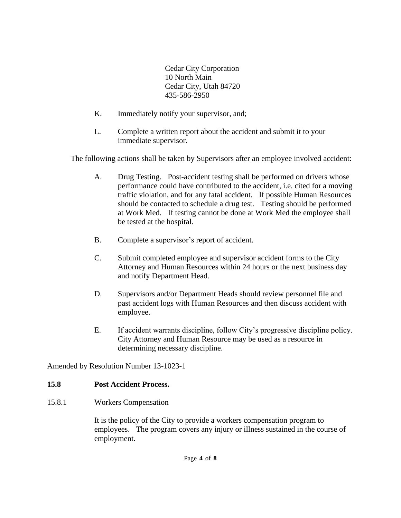Cedar City Corporation 10 North Main Cedar City, Utah 84720 435-586-2950

- K. Immediately notify your supervisor, and;
- L. Complete a written report about the accident and submit it to your immediate supervisor.

The following actions shall be taken by Supervisors after an employee involved accident:

- A. Drug Testing. Post-accident testing shall be performed on drivers whose performance could have contributed to the accident, i.e. cited for a moving traffic violation, and for any fatal accident. If possible Human Resources should be contacted to schedule a drug test. Testing should be performed at Work Med. If testing cannot be done at Work Med the employee shall be tested at the hospital.
- B. Complete a supervisor's report of accident.
- C. Submit completed employee and supervisor accident forms to the City Attorney and Human Resources within 24 hours or the next business day and notify Department Head.
- D. Supervisors and/or Department Heads should review personnel file and past accident logs with Human Resources and then discuss accident with employee.
- E. If accident warrants discipline, follow City's progressive discipline policy. City Attorney and Human Resource may be used as a resource in determining necessary discipline.

Amended by Resolution Number 13-1023-1

## **15.8 Post Accident Process.**

15.8.1 Workers Compensation

It is the policy of the City to provide a workers compensation program to employees. The program covers any injury or illness sustained in the course of employment.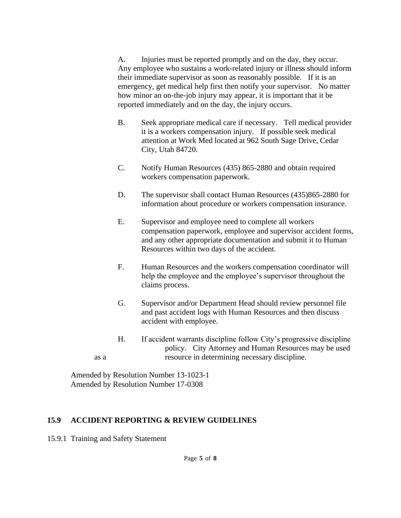A. Injuries must be reported promptly and on the day, they occur. Any employee who sustains a work-related injury or illness should inform their immediate supervisor as soon as reasonably possible. If it is an emergency, get medical help first then notify your supervisor. No matter how minor an on-the-job injury may appear, it is important that it be reported immediately and on the day, the injury occurs.

- B. Seek appropriate medical care if necessary. Tell medical provider it is a workers compensation injury. If possible seek medical attention at Work Med located at 962 South Sage Drive, Cedar City, Utah 84720.
- C. Notify Human Resources (435) 865-2880 and obtain required workers compensation paperwork.
- D. The supervisor shall contact Human Resources (435)865-2880 for information about procedure or workers compensation insurance.
- E. Supervisor and employee need to complete all workers compensation paperwork, employee and supervisor accident forms, and any other appropriate documentation and submit it to Human Resources within two days of the accident.
- F. Human Resources and the workers compensation coordinator will help the employee and the employee's supervisor throughout the claims process.
- G. Supervisor and/or Department Head should review personnel file and past accident logs with Human Resources and then discuss accident with employee.
- H. If accident warrants discipline follow City's progressive discipline policy. City Attorney and Human Resources may be used as a resource in determining necessary discipline.

Amended by Resolution Number 13-1023-1 Amended by Resolution Number 17-0308

## **15.9 ACCIDENT REPORTING & REVIEW GUIDELINES**

15.9.1 Training and Safety Statement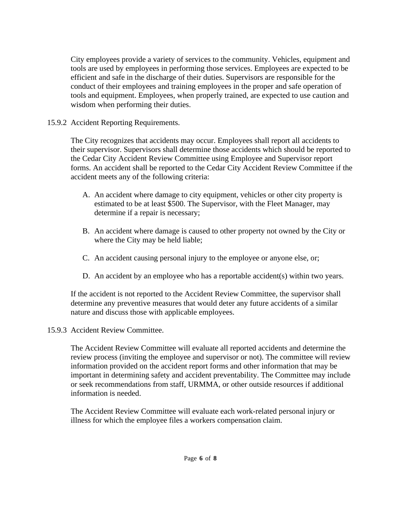City employees provide a variety of services to the community. Vehicles, equipment and tools are used by employees in performing those services. Employees are expected to be efficient and safe in the discharge of their duties. Supervisors are responsible for the conduct of their employees and training employees in the proper and safe operation of tools and equipment. Employees, when properly trained, are expected to use caution and wisdom when performing their duties.

15.9.2 Accident Reporting Requirements.

The City recognizes that accidents may occur. Employees shall report all accidents to their supervisor. Supervisors shall determine those accidents which should be reported to the Cedar City Accident Review Committee using Employee and Supervisor report forms. An accident shall be reported to the Cedar City Accident Review Committee if the accident meets any of the following criteria:

- A. An accident where damage to city equipment, vehicles or other city property is estimated to be at least \$500. The Supervisor, with the Fleet Manager, may determine if a repair is necessary;
- B. An accident where damage is caused to other property not owned by the City or where the City may be held liable;
- C. An accident causing personal injury to the employee or anyone else, or;
- D. An accident by an employee who has a reportable accident(s) within two years.

If the accident is not reported to the Accident Review Committee, the supervisor shall determine any preventive measures that would deter any future accidents of a similar nature and discuss those with applicable employees.

## 15.9.3 Accident Review Committee.

The Accident Review Committee will evaluate all reported accidents and determine the review process (inviting the employee and supervisor or not). The committee will review information provided on the accident report forms and other information that may be important in determining safety and accident preventability. The Committee may include or seek recommendations from staff, URMMA, or other outside resources if additional information is needed.

The Accident Review Committee will evaluate each work-related personal injury or illness for which the employee files a workers compensation claim.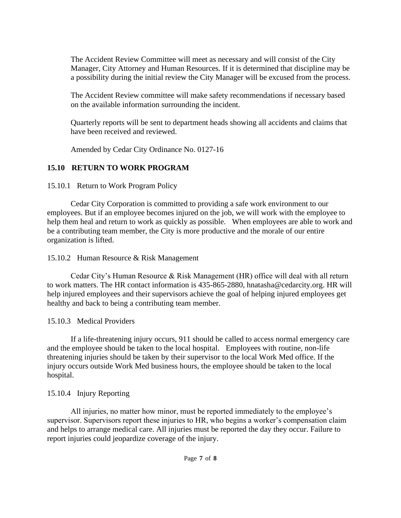The Accident Review Committee will meet as necessary and will consist of the City Manager, City Attorney and Human Resources. If it is determined that discipline may be a possibility during the initial review the City Manager will be excused from the process.

The Accident Review committee will make safety recommendations if necessary based on the available information surrounding the incident.

Quarterly reports will be sent to department heads showing all accidents and claims that have been received and reviewed.

Amended by Cedar City Ordinance No. 0127-16

# **15.10 RETURN TO WORK PROGRAM**

## 15.10.1 Return to Work Program Policy

Cedar City Corporation is committed to providing a safe work environment to our employees. But if an employee becomes injured on the job, we will work with the employee to help them heal and return to work as quickly as possible. When employees are able to work and be a contributing team member, the City is more productive and the morale of our entire organization is lifted.

15.10.2 Human Resource & Risk Management

Cedar City's Human Resource & Risk Management (HR) office will deal with all return to work matters. The HR contact information is 435-865-2880, [hnatasha@cedarcity.org.](mailto:hnatasha@cedarcity.org) HR will help injured employees and their supervisors achieve the goal of helping injured employees get healthy and back to being a contributing team member.

## 15.10.3 Medical Providers

If a life-threatening injury occurs, 911 should be called to access normal emergency care and the employee should be taken to the local hospital. Employees with routine, non-life threatening injuries should be taken by their supervisor to the local Work Med office. If the injury occurs outside Work Med business hours, the employee should be taken to the local hospital.

## 15.10.4 Injury Reporting

All injuries, no matter how minor, must be reported immediately to the employee's supervisor. Supervisors report these injuries to HR, who begins a worker's compensation claim and helps to arrange medical care. All injuries must be reported the day they occur. Failure to report injuries could jeopardize coverage of the injury.